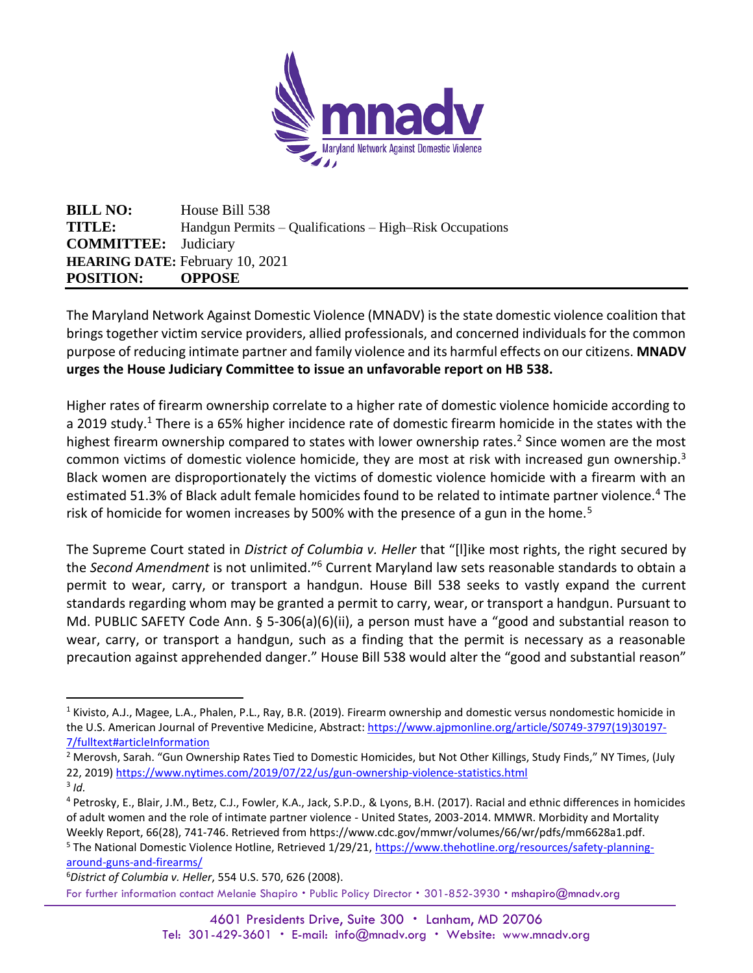

**BILL NO:** House Bill 538 **TITLE:** Handgun Permits – Qualifications – High–Risk Occupations **COMMITTEE:** Judiciary **HEARING DATE:** February 10, 2021 **POSITION: OPPOSE**

The Maryland Network Against Domestic Violence (MNADV) is the state domestic violence coalition that brings together victim service providers, allied professionals, and concerned individuals for the common purpose of reducing intimate partner and family violence and its harmful effects on our citizens. **MNADV urges the House Judiciary Committee to issue an unfavorable report on HB 538.** 

Higher rates of firearm ownership correlate to a higher rate of domestic violence homicide according to a 2019 study.<sup>1</sup> There is a 65% higher incidence rate of domestic firearm homicide in the states with the highest firearm ownership compared to states with lower ownership rates.<sup>2</sup> Since women are the most common victims of domestic violence homicide, they are most at risk with increased gun ownership.<sup>3</sup> Black women are disproportionately the victims of domestic violence homicide with a firearm with an estimated 51.3% of Black adult female homicides found to be related to intimate partner violence.<sup>4</sup> The risk of homicide for women increases by 500% with the presence of a gun in the home.<sup>5</sup>

The Supreme Court stated in *District of Columbia v. Heller* that "[l]ike most rights, the right secured by the Second Amendment is not unlimited."<sup>6</sup> Current Maryland law sets reasonable standards to obtain a permit to wear, carry, or transport a handgun. House Bill 538 seeks to vastly expand the current standards regarding whom may be granted a permit to carry, wear, or transport a handgun. Pursuant to Md. PUBLIC SAFETY Code Ann. § 5-306(a)(6)(ii), a person must have a "good and substantial reason to wear, carry, or transport a handgun, such as a finding that the permit is necessary as a reasonable precaution against apprehended danger." House Bill 538 would alter the "good and substantial reason"

<sup>&</sup>lt;sup>1</sup> Kivisto, A.J., Magee, L.A., Phalen, P.L., Ray, B.R. (2019). Firearm ownership and domestic versus nondomestic homicide in the U.S. American Journal of Preventive Medicine, Abstract: [https://www.ajpmonline.org/article/S0749-3797\(19\)30197-](https://www.ajpmonline.org/article/S0749-3797(19)30197-7/fulltext#articleInformation) [7/fulltext#articleInformation](https://www.ajpmonline.org/article/S0749-3797(19)30197-7/fulltext#articleInformation)

<sup>&</sup>lt;sup>2</sup> Merovsh, Sarah. "Gun Ownership Rates Tied to Domestic Homicides, but Not Other Killings, Study Finds," NY Times, (July 22, 2019[\) https://www.nytimes.com/2019/07/22/us/gun-ownership-violence-statistics.html](https://www.nytimes.com/2019/07/22/us/gun-ownership-violence-statistics.html) 3 *Id.*

<sup>4</sup> Petrosky, E., Blair, J.M., Betz, C.J., Fowler, K.A., Jack, S.P.D., & Lyons, B.H. (2017). Racial and ethnic differences in homicides of adult women and the role of intimate partner violence - United States, 2003-2014. MMWR. Morbidity and Mortality Weekly Report, 66(28), 741-746. Retrieved from https://www.cdc.gov/mmwr/volumes/66/wr/pdfs/mm6628a1.pdf.

<sup>&</sup>lt;sup>5</sup> The National Domestic Violence Hotline, Retrieved 1/29/21, [https://www.thehotline.org/resources/safety-planning](https://www.thehotline.org/resources/safety-planning-around-guns-and-firearms/)[around-guns-and-firearms/](https://www.thehotline.org/resources/safety-planning-around-guns-and-firearms/)

For further information contact Melanie Shapiro . Public Policy Director . 301-852-3930 . mshapiro@mnadv.org 6*District of Columbia v. Heller*, 554 U.S. 570, 626 (2008).